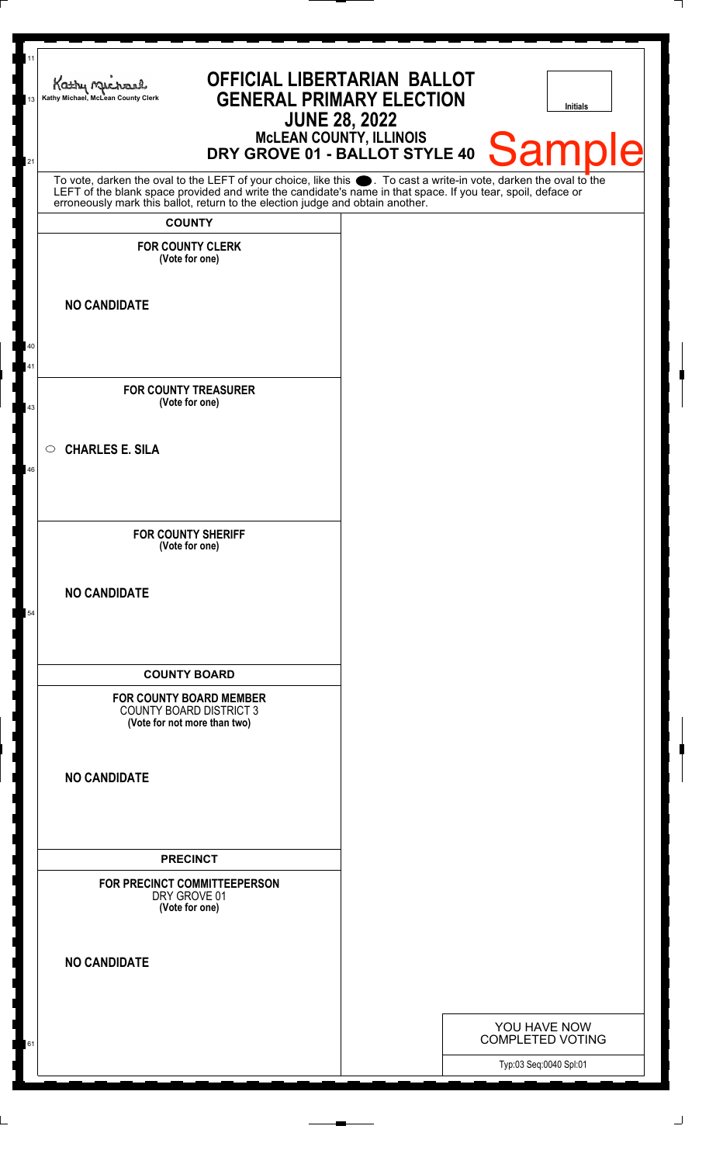| 11<br>13 | <b>OFFICIAL LIBERTARIAN BALLOT</b><br>Kathy Michael<br><b>GENERAL PRIMARY ELECTION</b><br>Kathy Michael, McLean County Clerk<br><b>JUNE 28, 2022</b><br>McLEAN COUNTY, ILLINOIS<br>DRY GROVE 01 - BALLOT STYLE 40                                                                                                      |  | <b>Initials</b><br><b>Sample</b>        |
|----------|------------------------------------------------------------------------------------------------------------------------------------------------------------------------------------------------------------------------------------------------------------------------------------------------------------------------|--|-----------------------------------------|
| 21       | To vote, darken the oval to the LEFT of your choice, like this $\bullet$ . To cast a write-in vote, darken the oval to the LEFT of the blank space provided and write the candidate's name in that space. If you tear, spoil, deface<br>erroneously mark this ballot, return to the election judge and obtain another. |  |                                         |
|          | <b>COUNTY</b><br><b>FOR COUNTY CLERK</b>                                                                                                                                                                                                                                                                               |  |                                         |
|          | (Vote for one)                                                                                                                                                                                                                                                                                                         |  |                                         |
|          | <b>NO CANDIDATE</b>                                                                                                                                                                                                                                                                                                    |  |                                         |
| 40<br>41 |                                                                                                                                                                                                                                                                                                                        |  |                                         |
| 43       | <b>FOR COUNTY TREASURER</b><br>(Vote for one)                                                                                                                                                                                                                                                                          |  |                                         |
|          | <b>CHARLES E. SILA</b><br>$\circ$                                                                                                                                                                                                                                                                                      |  |                                         |
| 46       |                                                                                                                                                                                                                                                                                                                        |  |                                         |
|          | <b>FOR COUNTY SHERIFF</b><br>(Vote for one)                                                                                                                                                                                                                                                                            |  |                                         |
| 54       | <b>NO CANDIDATE</b>                                                                                                                                                                                                                                                                                                    |  |                                         |
|          | <b>COUNTY BOARD</b>                                                                                                                                                                                                                                                                                                    |  |                                         |
|          | <b>FOR COUNTY BOARD MEMBER</b><br><b>COUNTY BOARD DISTRICT 3</b><br>(Vote for not more than two)                                                                                                                                                                                                                       |  |                                         |
|          | <b>NO CANDIDATE</b>                                                                                                                                                                                                                                                                                                    |  |                                         |
|          | <b>PRECINCT</b>                                                                                                                                                                                                                                                                                                        |  |                                         |
|          | FOR PRECINCT COMMITTEEPERSON<br>DRY GROVE 01<br>(Vote for one)                                                                                                                                                                                                                                                         |  |                                         |
|          | <b>NO CANDIDATE</b>                                                                                                                                                                                                                                                                                                    |  |                                         |
|          |                                                                                                                                                                                                                                                                                                                        |  |                                         |
| 61       |                                                                                                                                                                                                                                                                                                                        |  | YOU HAVE NOW<br><b>COMPLETED VOTING</b> |
|          |                                                                                                                                                                                                                                                                                                                        |  | Typ:03 Seq:0040 Spl:01                  |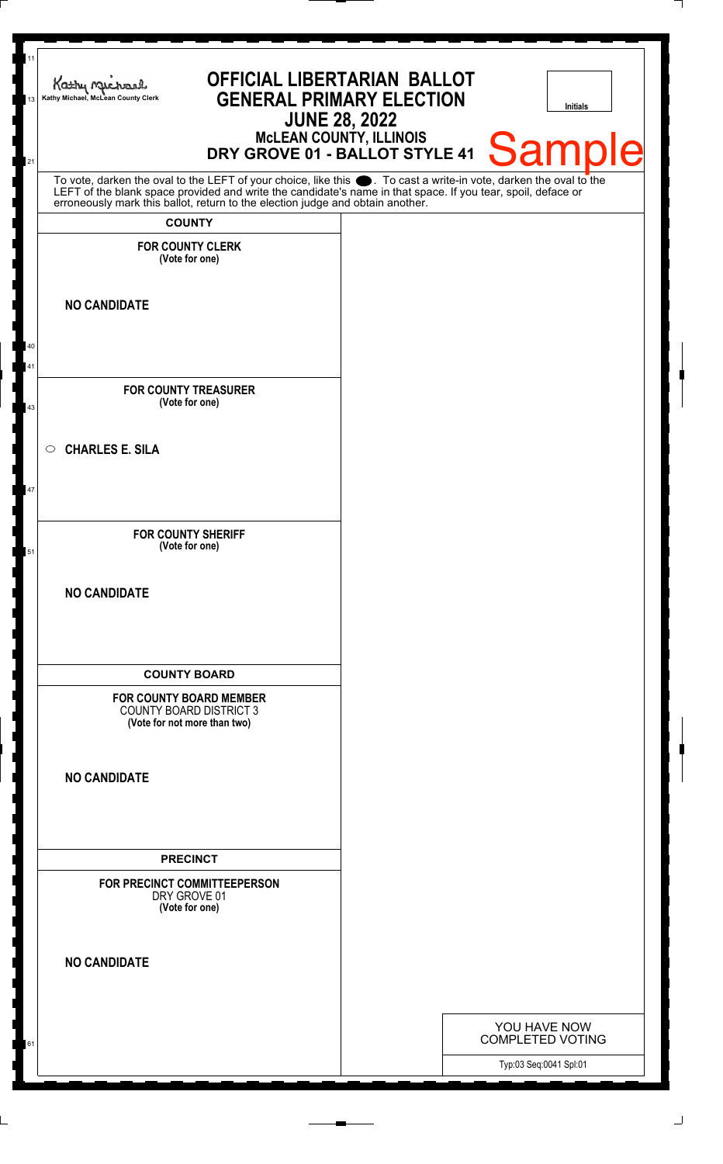| <b>OFFICIAL LIBERTARIAN BALLOT</b><br>Kathy Mechand<br><b>GENERAL PRIMARY ELECTION</b><br>Kathy Michael, McLean County Clerk                                                                                                                                                                                           | <b>JUNE 28, 2022</b> |                        | Initials                                |
|------------------------------------------------------------------------------------------------------------------------------------------------------------------------------------------------------------------------------------------------------------------------------------------------------------------------|----------------------|------------------------|-----------------------------------------|
| McLEAN COUNTY, ILLINOIS<br>DRY GROVE 01 - BALLOT STYLE 41                                                                                                                                                                                                                                                              |                      |                        | <b>Sample</b>                           |
| To vote, darken the oval to the LEFT of your choice, like this $\bullet$ . To cast a write-in vote, darken the oval to the LEFT of the blank space provided and write the candidate's name in that space. If you tear, spoil, deface<br>erroneously mark this ballot, return to the election judge and obtain another. |                      |                        |                                         |
| <b>COUNTY</b><br><b>FOR COUNTY CLERK</b>                                                                                                                                                                                                                                                                               |                      |                        |                                         |
| (Vote for one)                                                                                                                                                                                                                                                                                                         |                      |                        |                                         |
| <b>NO CANDIDATE</b>                                                                                                                                                                                                                                                                                                    |                      |                        |                                         |
|                                                                                                                                                                                                                                                                                                                        |                      |                        |                                         |
| <b>FOR COUNTY TREASURER</b>                                                                                                                                                                                                                                                                                            |                      |                        |                                         |
| (Vote for one)                                                                                                                                                                                                                                                                                                         |                      |                        |                                         |
| <b>CHARLES E. SILA</b>                                                                                                                                                                                                                                                                                                 |                      |                        |                                         |
|                                                                                                                                                                                                                                                                                                                        |                      |                        |                                         |
| <b>FOR COUNTY SHERIFF</b><br>(Vote for one)                                                                                                                                                                                                                                                                            |                      |                        |                                         |
| <b>NO CANDIDATE</b>                                                                                                                                                                                                                                                                                                    |                      |                        |                                         |
| <b>COUNTY BOARD</b>                                                                                                                                                                                                                                                                                                    |                      |                        |                                         |
| <b>FOR COUNTY BOARD MEMBER</b><br><b>COUNTY BOARD DISTRICT 3</b><br>(Vote for not more than two)                                                                                                                                                                                                                       |                      |                        |                                         |
| <b>NO CANDIDATE</b>                                                                                                                                                                                                                                                                                                    |                      |                        |                                         |
| <b>PRECINCT</b>                                                                                                                                                                                                                                                                                                        |                      |                        |                                         |
| FOR PRECINCT COMMITTEEPERSON<br>DRY GROVE 01<br>(Vote for one)                                                                                                                                                                                                                                                         |                      |                        |                                         |
| <b>NO CANDIDATE</b>                                                                                                                                                                                                                                                                                                    |                      |                        |                                         |
|                                                                                                                                                                                                                                                                                                                        |                      |                        |                                         |
|                                                                                                                                                                                                                                                                                                                        |                      |                        | YOU HAVE NOW<br><b>COMPLETED VOTING</b> |
|                                                                                                                                                                                                                                                                                                                        |                      | Typ:03 Seq:0041 Spl:01 |                                         |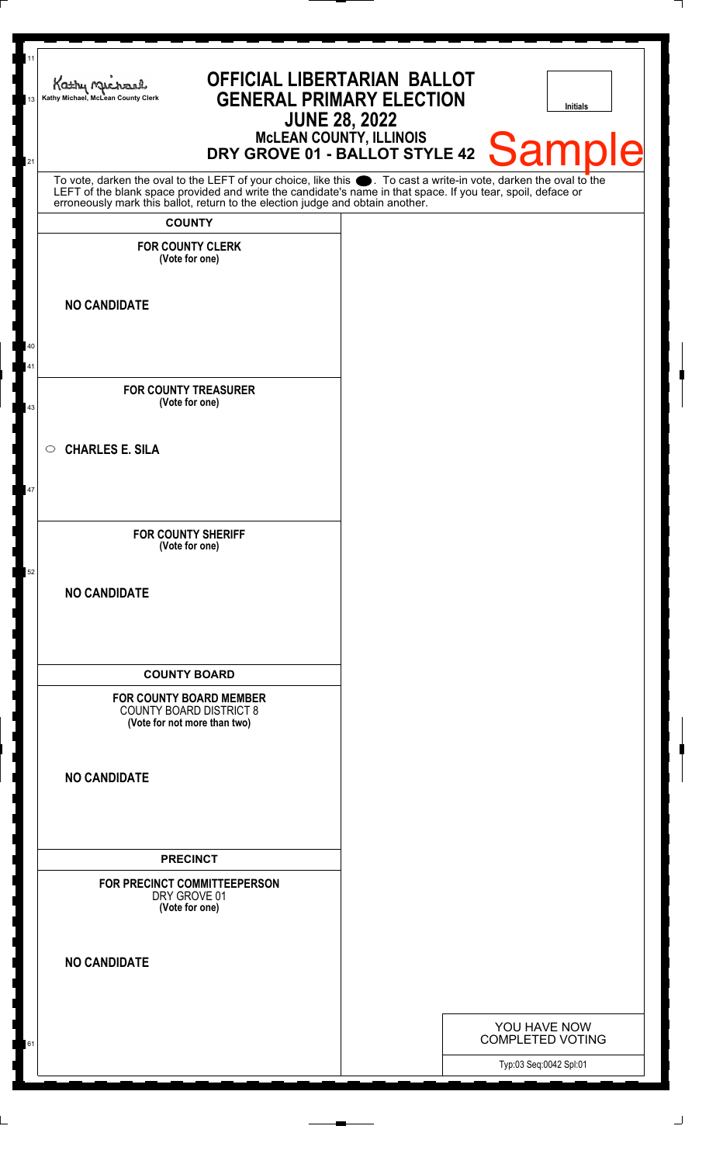| Kathy Michael, McLean County Clerk<br>13<br>21 | Kathy Michael<br><b>GENERAL PRIMARY ELECTION</b><br>MCLEAN COUNTY, ILLINOIS<br>DRY GROVE 01 - BALLOT STYLE 42 Sample                                                                                                                                                                                                                    | <b>OFFICIAL LIBERTARIAN BALLOT</b><br><b>JUNE 28, 2022</b> |                                                   | <b>Initials</b> |
|------------------------------------------------|-----------------------------------------------------------------------------------------------------------------------------------------------------------------------------------------------------------------------------------------------------------------------------------------------------------------------------------------|------------------------------------------------------------|---------------------------------------------------|-----------------|
|                                                | To vote, darken the oval to the LEFT of your choice, like this $\bullet$ . To cast a write-in vote, darken the oval to the LEFT of the blank space provided and write the candidate's name in that space. If you tear, spoil, deface<br>erroneously mark this ballot, return to the election judge and obtain another.<br><b>COUNTY</b> |                                                            |                                                   |                 |
|                                                | <b>FOR COUNTY CLERK</b><br>(Vote for one)                                                                                                                                                                                                                                                                                               |                                                            |                                                   |                 |
| <b>NO CANDIDATE</b>                            |                                                                                                                                                                                                                                                                                                                                         |                                                            |                                                   |                 |
| 40<br>41                                       |                                                                                                                                                                                                                                                                                                                                         |                                                            |                                                   |                 |
| 43                                             | <b>FOR COUNTY TREASURER</b><br>(Vote for one)                                                                                                                                                                                                                                                                                           |                                                            |                                                   |                 |
| <b>CHARLES E. SILA</b><br>$\circ$              |                                                                                                                                                                                                                                                                                                                                         |                                                            |                                                   |                 |
| 47                                             |                                                                                                                                                                                                                                                                                                                                         |                                                            |                                                   |                 |
|                                                | <b>FOR COUNTY SHERIFF</b><br>(Vote for one)                                                                                                                                                                                                                                                                                             |                                                            |                                                   |                 |
| 52<br><b>NO CANDIDATE</b>                      |                                                                                                                                                                                                                                                                                                                                         |                                                            |                                                   |                 |
|                                                | <b>COUNTY BOARD</b>                                                                                                                                                                                                                                                                                                                     |                                                            |                                                   |                 |
|                                                | <b>FOR COUNTY BOARD MEMBER</b><br><b>COUNTY BOARD DISTRICT 8</b><br>(Vote for not more than two)                                                                                                                                                                                                                                        |                                                            |                                                   |                 |
| <b>NO CANDIDATE</b>                            |                                                                                                                                                                                                                                                                                                                                         |                                                            |                                                   |                 |
|                                                | <b>PRECINCT</b>                                                                                                                                                                                                                                                                                                                         |                                                            |                                                   |                 |
|                                                | FOR PRECINCT COMMITTEEPERSON<br>DRY GROVE 01<br>(Vote for one)                                                                                                                                                                                                                                                                          |                                                            |                                                   |                 |
| <b>NO CANDIDATE</b>                            |                                                                                                                                                                                                                                                                                                                                         |                                                            |                                                   |                 |
|                                                |                                                                                                                                                                                                                                                                                                                                         |                                                            | YOU HAVE NOW                                      |                 |
| 61                                             |                                                                                                                                                                                                                                                                                                                                         |                                                            | <b>COMPLETED VOTING</b><br>Typ:03 Seq:0042 Spl:01 |                 |